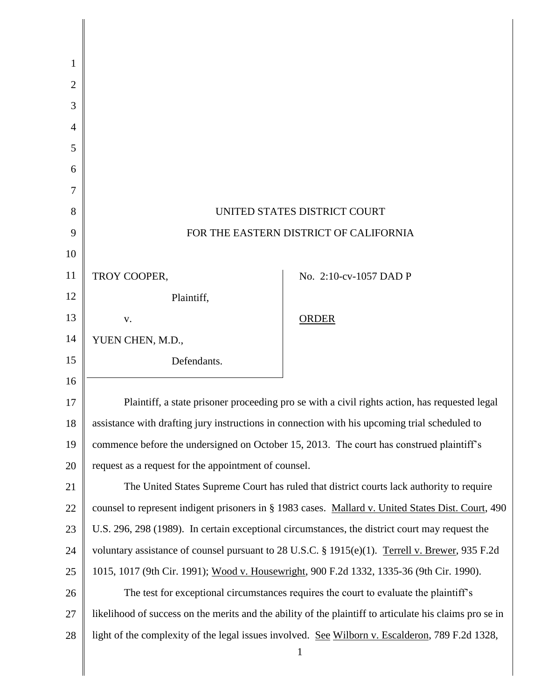| 1              |                                                                                                         |                                                                                                 |
|----------------|---------------------------------------------------------------------------------------------------------|-------------------------------------------------------------------------------------------------|
| 2              |                                                                                                         |                                                                                                 |
| 3              |                                                                                                         |                                                                                                 |
| $\overline{4}$ |                                                                                                         |                                                                                                 |
| 5              |                                                                                                         |                                                                                                 |
| 6              |                                                                                                         |                                                                                                 |
| 7              |                                                                                                         |                                                                                                 |
| 8              | UNITED STATES DISTRICT COURT                                                                            |                                                                                                 |
| 9              | FOR THE EASTERN DISTRICT OF CALIFORNIA                                                                  |                                                                                                 |
| 10             |                                                                                                         |                                                                                                 |
| 11             | TROY COOPER,                                                                                            | No. 2:10-cv-1057 DAD P                                                                          |
| 12             | Plaintiff,                                                                                              |                                                                                                 |
| 13             | V.                                                                                                      | ORDER                                                                                           |
| 14             | YUEN CHEN, M.D.,                                                                                        |                                                                                                 |
| 15             | Defendants.                                                                                             |                                                                                                 |
| 16             |                                                                                                         |                                                                                                 |
| 17             | Plaintiff, a state prisoner proceeding pro se with a civil rights action, has requested legal           |                                                                                                 |
| 18             | assistance with drafting jury instructions in connection with his upcoming trial scheduled to           |                                                                                                 |
| 19             | commence before the undersigned on October 15, 2013. The court has construed plaintiff's                |                                                                                                 |
| 20             | request as a request for the appointment of counsel.                                                    |                                                                                                 |
| 21             | The United States Supreme Court has ruled that district courts lack authority to require                |                                                                                                 |
| 22             | counsel to represent indigent prisoners in § 1983 cases. Mallard v. United States Dist. Court, 490      |                                                                                                 |
| 23             | U.S. 296, 298 (1989). In certain exceptional circumstances, the district court may request the          |                                                                                                 |
| 24             | voluntary assistance of counsel pursuant to 28 U.S.C. § 1915(e)(1). Terrell v. Brewer, 935 F.2d         |                                                                                                 |
| 25             | 1015, 1017 (9th Cir. 1991); Wood v. Housewright, 900 F.2d 1332, 1335-36 (9th Cir. 1990).                |                                                                                                 |
| 26             | The test for exceptional circumstances requires the court to evaluate the plaintiff's                   |                                                                                                 |
| 27             | likelihood of success on the merits and the ability of the plaintiff to articulate his claims pro se in |                                                                                                 |
| 28             |                                                                                                         | light of the complexity of the legal issues involved. See Wilborn v. Escalderon, 789 F.2d 1328, |
|                |                                                                                                         | $\mathbf{1}$                                                                                    |
|                |                                                                                                         |                                                                                                 |